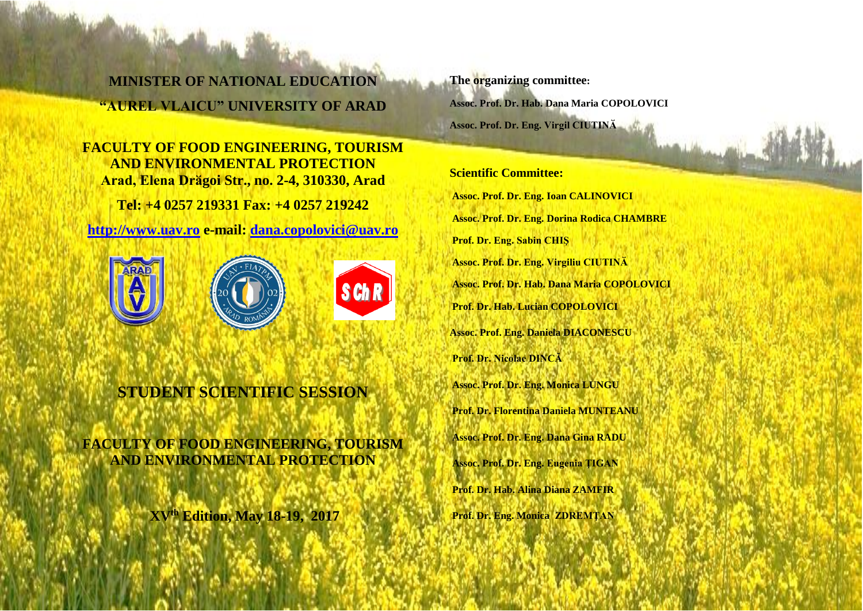**MINISTER OF NATIONAL EDUCATION "AUREL VLAICU" UNIVERSITY OF ARAD**

### **FACULTY OF FOOD ENGINEERING, TOURISM AND ENVIRONMENTAL PROTECTION Arad, Elena Drӑgoi Str., no. 2-4, 310330, Arad**

**Tel: +4 0257 219331 Fax: +4 0257 219242**

**[http://www.uav.ro](http://www.uav.ro/) e-mail: [dana.copolovici@uav.ro](mailto:dana.copolovici@uav.ro)**







## **STUDENT SCIENTIFIC SESSION**

### **FACULTY OF FOOD ENGINEERING, TOURISM AND ENVIRONMENTAL PROTECTION**

**XVth Edition, May 18-19, 2017**

**The organizing committee: Assoc. Prof. Dr. Hab. Dana Maria COPOLOVICI Assoc. Prof. Dr. Eng. Virgil CIUTINӐ**

# **Scientific Committee: Assoc. Prof. Dr. Eng. Ioan CALINOVICI Assoc. Prof. Dr. Eng. Dorina Rodica CHAMBRE Prof. Dr. Eng. Sabin CHIŞ Assoc. Prof. Dr. Eng. Virgiliu CIUTINӐ Assoc. Prof. Dr. Hab. Dana Maria COPOLOVICI Prof. Dr. Hab. Lucian COPOLOVICI Assoc. Prof. Eng. Daniela DIACONESCU Prof. Dr. Nicolae DINCĂ Assoc. Prof. Dr. Eng. Monica LUNGU Prof. Dr. Florentina Daniela MUNTEANU Assoc. Prof. Dr. Eng. Dana Gina RADU Assoc. Prof. Dr. Eng. Eugenia ŢIGAN Prof. Dr. Hab. Alina Diana ZAMFIR Prof. Dr. Eng. Monica ZDREMŢAN**